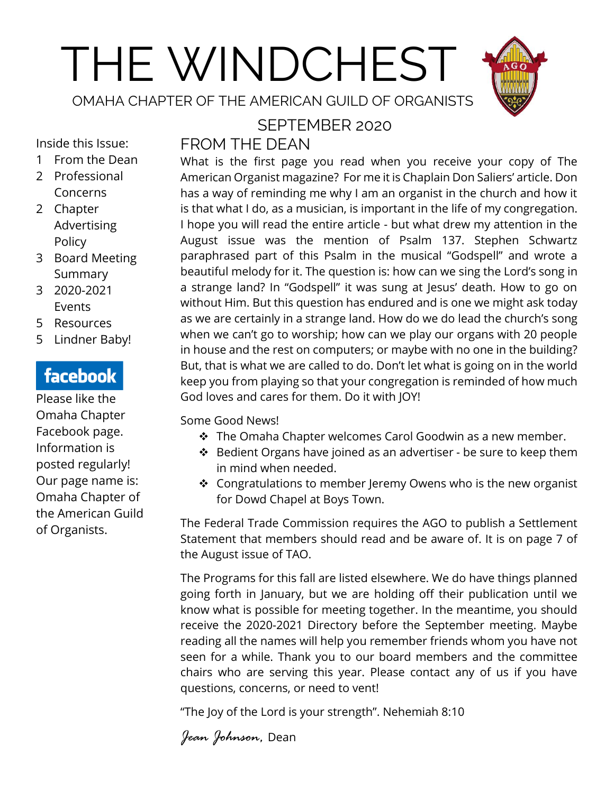# THE WINDCHEST

OMAHA CHAPTER OF THE AMERICAN GUILD OF ORGANISTS



Inside this Issue:

- 1 From the Dean
- 2 Professional Concerns
- 2 Chapter Advertising Policy
- 3 Board Meeting Summary
- 3 2020-2021 Events
- 5 Resources
- 5 Lindner Baby!

# facebook

Please like the Omaha Chapter Facebook page. Information is posted regularly! Our page name is: Omaha Chapter of the American Guild of Organists.

#### SEPTEMBER 2020 FROM THE DEAN

What is the first page you read when you receive your copy of The American Organist magazine? For me it is Chaplain Don Saliers' article. Don has a way of reminding me why I am an organist in the church and how it is that what I do, as a musician, is important in the life of my congregation. I hope you will read the entire article - but what drew my attention in the August issue was the mention of Psalm 137. Stephen Schwartz paraphrased part of this Psalm in the musical "Godspell" and wrote a beautiful melody for it. The question is: how can we sing the Lord's song in a strange land? In "Godspell" it was sung at Jesus' death. How to go on without Him. But this question has endured and is one we might ask today as we are certainly in a strange land. How do we do lead the church's song when we can't go to worship; how can we play our organs with 20 people in house and the rest on computers; or maybe with no one in the building? But, that is what we are called to do. Don't let what is going on in the world keep you from playing so that your congregation is reminded of how much God loves and cares for them. Do it with JOY!

Some Good News!

- ❖ The Omaha Chapter welcomes Carol Goodwin as a new member.
- ❖ Bedient Organs have joined as an advertiser be sure to keep them in mind when needed.
- ❖ Congratulations to member Jeremy Owens who is the new organist for Dowd Chapel at Boys Town.

The Federal Trade Commission requires the AGO to publish a Settlement Statement that members should read and be aware of. It is on page 7 of the August issue of TAO.

The Programs for this fall are listed elsewhere. We do have things planned going forth in January, but we are holding off their publication until we know what is possible for meeting together. In the meantime, you should receive the 2020-2021 Directory before the September meeting. Maybe reading all the names will help you remember friends whom you have not seen for a while. Thank you to our board members and the committee chairs who are serving this year. Please contact any of us if you have questions, concerns, or need to vent!

"The Joy of the Lord is your strength". Nehemiah 8:10

*Jean Johnson,* Dean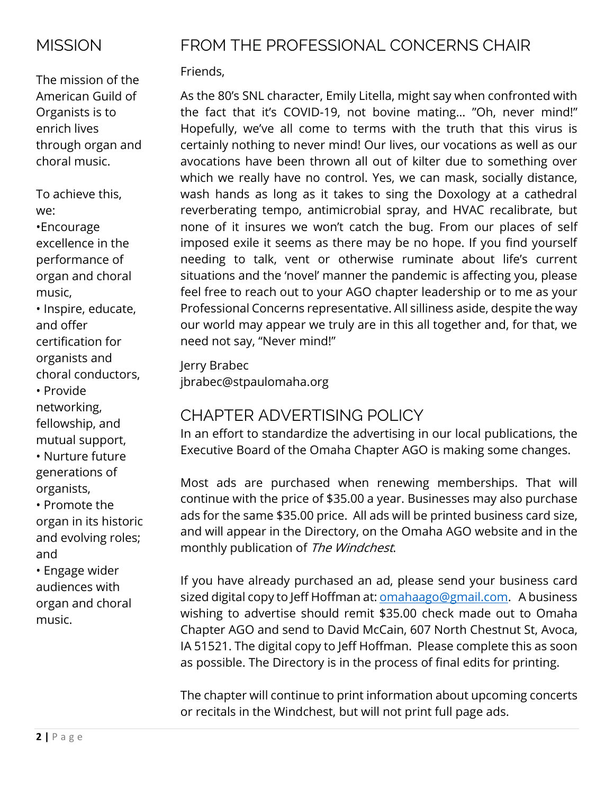## **MISSION**

The mission of the American Guild of Organists is to enrich lives through organ and choral music.

To achieve this, we:

•Encourage excellence in the performance of organ and choral music,

• Inspire, educate, and offer certification for organists and choral conductors, • Provide networking, fellowship, and mutual support,

• Nurture future generations of organists,

• Promote the organ in its historic and evolving roles; and

• Engage wider audiences with organ and choral music.

# FROM THE PROFESSIONAL CONCERNS CHAIR

## Friends,

As the 80's SNL character, Emily Litella, might say when confronted with the fact that it's COVID-19, not bovine mating… "Oh, never mind!" Hopefully, we've all come to terms with the truth that this virus is certainly nothing to never mind! Our lives, our vocations as well as our avocations have been thrown all out of kilter due to something over which we really have no control. Yes, we can mask, socially distance, wash hands as long as it takes to sing the Doxology at a cathedral reverberating tempo, antimicrobial spray, and HVAC recalibrate, but none of it insures we won't catch the bug. From our places of self imposed exile it seems as there may be no hope. If you find yourself needing to talk, vent or otherwise ruminate about life's current situations and the 'novel' manner the pandemic is affecting you, please feel free to reach out to your AGO chapter leadership or to me as your Professional Concerns representative. All silliness aside, despite the way our world may appear we truly are in this all together and, for that, we need not say, "Never mind!"

Jerry Brabec jbrabec@stpaulomaha.org

## CHAPTER ADVERTISING POLICY

In an effort to standardize the advertising in our local publications, the Executive Board of the Omaha Chapter AGO is making some changes.

Most ads are purchased when renewing memberships. That will continue with the price of \$35.00 a year. Businesses may also purchase ads for the same \$35.00 price. All ads will be printed business card size, and will appear in the Directory, on the Omaha AGO website and in the monthly publication of The Windchest.

If you have already purchased an ad, please send your business card sized digital copy to Jeff Hoffman at: **[omahaago@gmail.com.](mailto:omahaago@gmail.com)** A business wishing to advertise should remit \$35.00 check made out to Omaha Chapter AGO and send to David McCain, 607 North Chestnut St, Avoca, IA 51521. The digital copy to Jeff Hoffman. Please complete this as soon as possible. The Directory is in the process of final edits for printing.

The chapter will continue to print information about upcoming concerts or recitals in the Windchest, but will not print full page ads.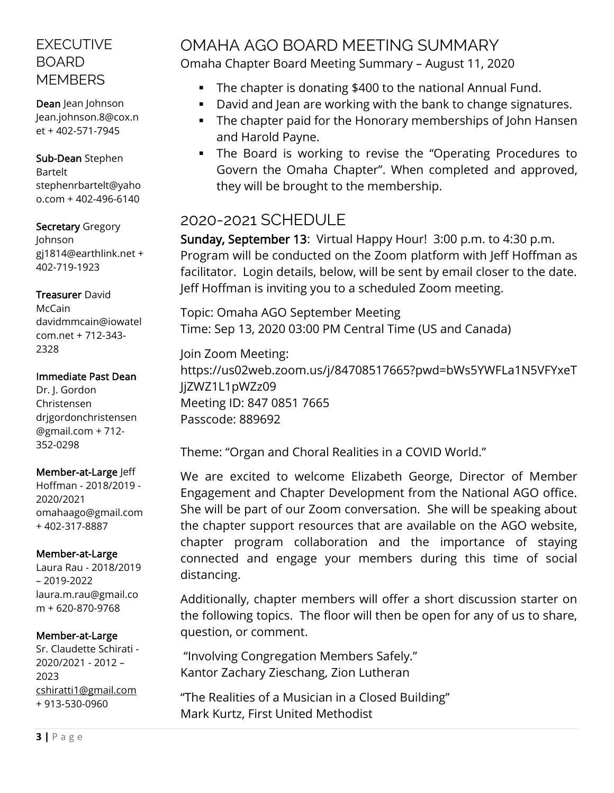## EXECUTIVE BOARD **MEMBERS**

Dean Jean Johnson Jean.johnson.8@cox.n et + 402-571-7945

Sub-Dean Stephen Bartelt stephenrbartelt@yaho o.com + 402-496-6140

#### Secretary Gregory Johnson gj1814@earthlink.net + 402-719-1923

#### Treasurer David

McCain davidmmcain@iowatel com.net + 712-343- 2328

#### Immediate Past Dean

Dr. J. Gordon Christensen drjgordonchristensen @gmail.com + 712- 352-0298

#### Member-at-Large Jeff

Hoffman - 2018/2019 - 2020/2021 omahaago@gmail.com + 402-317-8887

#### Member-at-Large

Laura Rau - 2018/2019 – 2019-2022 [laura.m.rau@gmail.co](mailto:laura.m.rau@gmail.com) [m](mailto:laura.m.rau@gmail.com) + 620-870-9768

#### Member-at-Large

Sr. Claudette Schirati - 2020/2021 - 2012 – 2023 [cshiratti1@gmail.com](mailto:cshiratti1@gmail.com) + 913-530-0960

## OMAHA AGO BOARD MEETING SUMMARY Omaha Chapter Board Meeting Summary – August 11, 2020

- The chapter is donating \$400 to the national Annual Fund.
- David and Jean are working with the bank to change signatures.
- **•** The chapter paid for the Honorary memberships of John Hansen and Harold Payne.
- The Board is working to revise the "Operating Procedures to Govern the Omaha Chapter". When completed and approved, they will be brought to the membership.

## 2020-2021 SCHEDULE

Sunday, September 13: Virtual Happy Hour! 3:00 p.m. to 4:30 p.m. Program will be conducted on the Zoom platform with Jeff Hoffman as facilitator. Login details, below, will be sent by email closer to the date. Jeff Hoffman is inviting you to a scheduled Zoom meeting.

Topic: Omaha AGO September Meeting Time: Sep 13, 2020 03:00 PM Central Time (US and Canada)

Join Zoom Meeting: https://us02web.zoom.us/j/84708517665?pwd=bWs5YWFLa1N5VFYxeT liZWZ1L1pWZz09 Meeting ID: 847 0851 7665 Passcode: 889692

Theme: "Organ and Choral Realities in a COVID World."

We are excited to welcome Elizabeth George, Director of Member Engagement and Chapter Development from the National AGO office. She will be part of our Zoom conversation. She will be speaking about the chapter support resources that are available on the AGO website, chapter program collaboration and the importance of staying connected and engage your members during this time of social distancing.

Additionally, chapter members will offer a short discussion starter on the following topics. The floor will then be open for any of us to share, question, or comment.

"Involving Congregation Members Safely." Kantor Zachary Zieschang, Zion Lutheran

"The Realities of a Musician in a Closed Building" Mark Kurtz, First United Methodist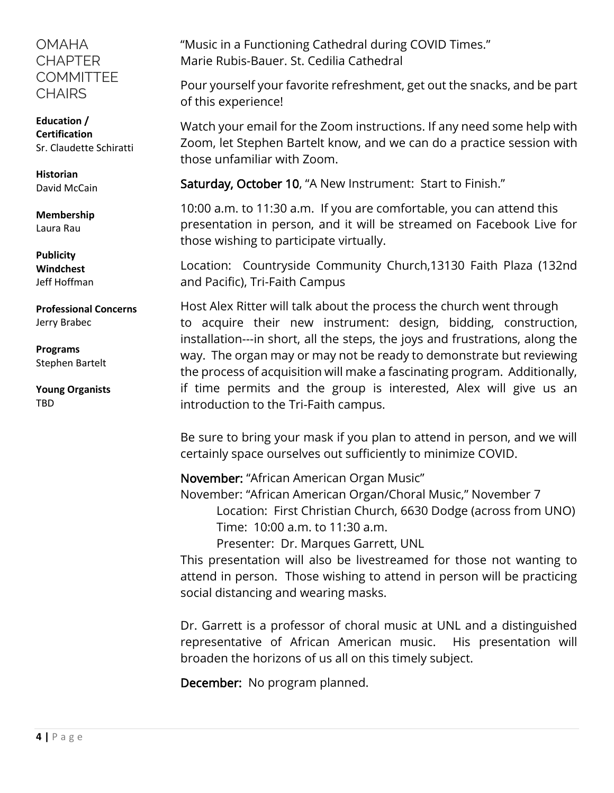### **OMAHA CHAPTER COMMITTEE** CHAIRS

**Education / Certification** Sr. Claudette Schiratti

**Historian** David McCain

**Membership** Laura Rau

**Publicity Windchest** Jeff Hoffman

**Professional Concerns** Jerry Brabec

**Programs** Stephen Bartelt

**Young Organists** TBD

"Music in a Functioning Cathedral during COVID Times." Marie Rubis-Bauer. St. Cedilia Cathedral

Pour yourself your favorite refreshment, get out the snacks, and be part of this experience!

Watch your email for the Zoom instructions. If any need some help with Zoom, let Stephen Bartelt know, and we can do a practice session with those unfamiliar with Zoom.

Saturday, October 10, "A New Instrument: Start to Finish."

10:00 a.m. to 11:30 a.m. If you are comfortable, you can attend this presentation in person, and it will be streamed on Facebook Live for those wishing to participate virtually.

Location: Countryside Community Church,13130 Faith Plaza (132nd and Pacific), Tri-Faith Campus

Host Alex Ritter will talk about the process the church went through to acquire their new instrument: design, bidding, construction, installation---in short, all the steps, the joys and frustrations, along the way. The organ may or may not be ready to demonstrate but reviewing the process of acquisition will make a fascinating program. Additionally, if time permits and the group is interested, Alex will give us an introduction to the Tri-Faith campus.

Be sure to bring your mask if you plan to attend in person, and we will certainly space ourselves out sufficiently to minimize COVID.

November: "African American Organ Music" November: "African American Organ/Choral Music," November 7 Location: First Christian Church, 6630 Dodge (across from UNO) Time: 10:00 a.m. to 11:30 a.m.

Presenter: Dr. Marques Garrett, UNL

This presentation will also be livestreamed for those not wanting to attend in person. Those wishing to attend in person will be practicing social distancing and wearing masks.

Dr. Garrett is a professor of choral music at UNL and a distinguished representative of African American music. His presentation will broaden the horizons of us all on this timely subject.

December: No program planned.